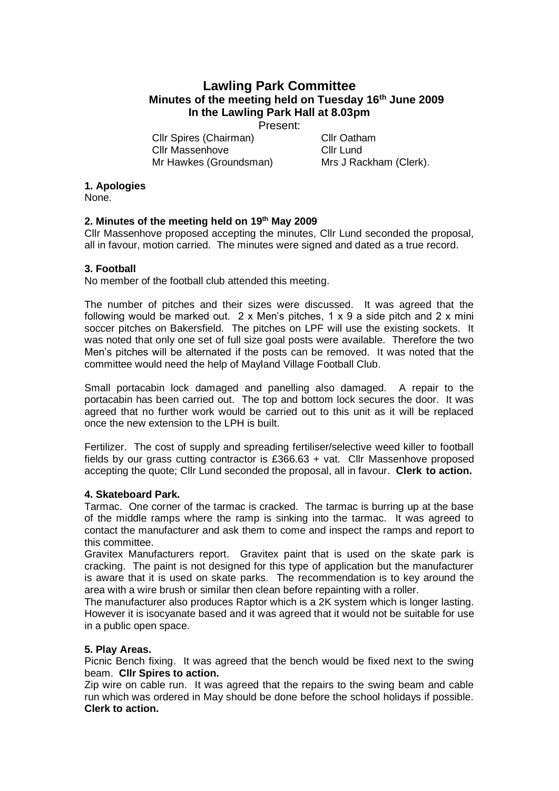# **Lawling Park Committee Minutes of the meeting held on Tuesday 16th June 2009 In the Lawling Park Hall at 8.03pm**

Present:

Cllr Spires (Chairman) Cllr Oatham Cllr Massenhove Cllr Lund Mr Hawkes (Groundsman) Mrs J Rackham (Clerk).

# **1. Apologies**

None.

# **2. Minutes of the meeting held on 19th May 2009**

Cllr Massenhove proposed accepting the minutes, Cllr Lund seconded the proposal, all in favour, motion carried. The minutes were signed and dated as a true record.

## **3. Football**

No member of the football club attended this meeting.

The number of pitches and their sizes were discussed. It was agreed that the following would be marked out. 2 x Men's pitches, 1 x 9 a side pitch and 2 x mini soccer pitches on Bakersfield. The pitches on LPF will use the existing sockets. It was noted that only one set of full size goal posts were available. Therefore the two Men's pitches will be alternated if the posts can be removed. It was noted that the committee would need the help of Mayland Village Football Club.

Small portacabin lock damaged and panelling also damaged. A repair to the portacabin has been carried out. The top and bottom lock secures the door. It was agreed that no further work would be carried out to this unit as it will be replaced once the new extension to the LPH is built.

Fertilizer. The cost of supply and spreading fertiliser/selective weed killer to football fields by our grass cutting contractor is £366.63 + vat. Cllr Massenhove proposed accepting the quote; Cllr Lund seconded the proposal, all in favour. **Clerk to action.**

### **4. Skateboard Park.**

Tarmac. One corner of the tarmac is cracked. The tarmac is burring up at the base of the middle ramps where the ramp is sinking into the tarmac. It was agreed to contact the manufacturer and ask them to come and inspect the ramps and report to this committee.

Gravitex Manufacturers report. Gravitex paint that is used on the skate park is cracking. The paint is not designed for this type of application but the manufacturer is aware that it is used on skate parks. The recommendation is to key around the area with a wire brush or similar then clean before repainting with a roller.

The manufacturer also produces Raptor which is a 2K system which is longer lasting. However it is isocyanate based and it was agreed that it would not be suitable for use in a public open space.

### **5. Play Areas.**

Picnic Bench fixing. It was agreed that the bench would be fixed next to the swing beam. **Cllr Spires to action.**

Zip wire on cable run. It was agreed that the repairs to the swing beam and cable run which was ordered in May should be done before the school holidays if possible. **Clerk to action.**